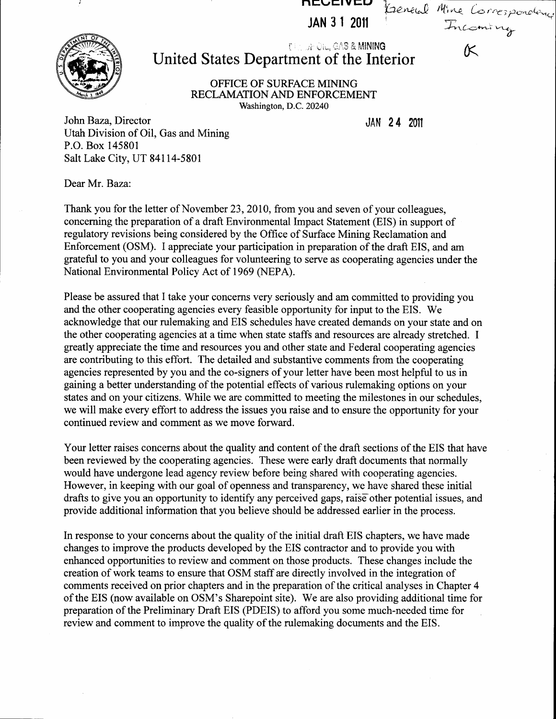JAN 31 2011

IVEIVEU

## .ii r.iu, i':.l,fi &. MINING United States Department of the Interior

OFFICE OF SUREACE MINING RECLAMATION AND ENFORCEMENT Washington, D.C. 20240

JAN 24 20il

(Teneral Mine Correspondence

fi'tg---,^..r-i- u-14d

John Baza, Director Utah Division of Oil, Gas and Mining P.O. Box 145801 Salt Lake City, UT 84114-5801

Dear Mr. Baza:

Thank you for the letter of November 23, 2010, from you and seven of your colleagues, concerning the preparation of a draft Environmental Impact Statement (EIS) in support of regulatory revisions being considered by the Office of Surface Mining Reclamation and Enforcement (OSM). I appreciate your participation in preparation of the draft EIS, and am grateful to you and your colleagues for volunteering to serve as cooperating agencies under the National Environmental Policy Act of 1969 (NEPA).

Please be assured that I take your concerns very seriously and am committed to providing you and the other cooperating agencies every feasible opportunity for input to the EIS. We acknowledge that our rulemaking and EIS schedules have created demands on your state and on the other cooperating agencies at a time when state staffs and resources are already stretched. I greatly appreciate the time and resources you and other state and Federal cooperating agencies are contributing to this effort. The detailed and substantive comments from the cooperating agencies represented by you and the co-signers of your letter have been most helpful to us in gaining a better understanding of the potential effects of various rulemaking options on your states and on your citizens. While we are committed to meeting the milestones in our schedules, we will make every effort to address the issues you raise and to ensure the opportunity for your continued review and comment as we move forward.

Your letter raises concerns about the quality and content of the draft sections of the EIS that have been reviewed by the cooperating agencies. These were early draft documents that normally would have undergone lead agency review before being shared with cooperating agencies. However, in keeping with our goal of openness and transparency, we have shared these initial drafts to give you an opportunity to identify any perceived gaps, raise other potential issues, and provide additional information that you believe should be addressed earlier in the process.

In response to your concerns about the quality of the initial draft EIS chapters, we have made changes to improve the products developed by the EIS contractor and to provide you with enhanced opporfunities to review and comment on those products. These changes include the creation of work teams to ensure that OSM staff are directly involved in the integration of comments received on prior chapters and in the preparation of the critical analyses in Chapter 4 of the EIS (now available on OSM's Sharepoint site). We are also providing additional time for preparation of the Preliminary Draft EIS (PDEIS) to afford you some much-needed time for review and comment to improve the quality of the rulemaking documents and the EIS.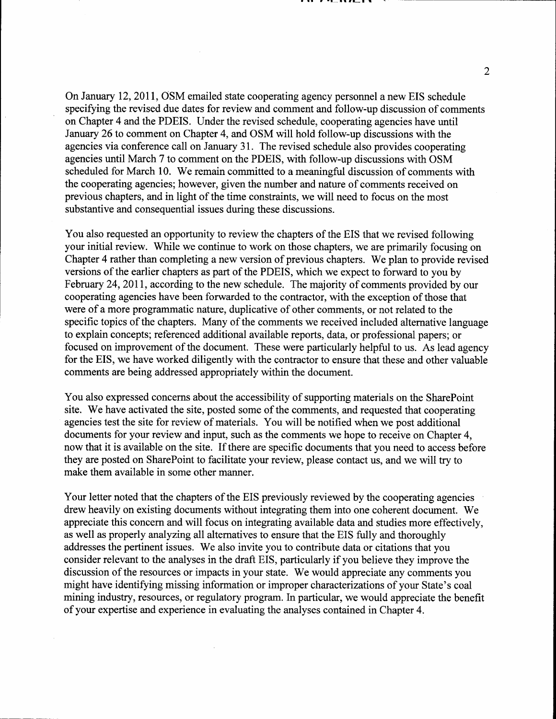On January 12, 2011, OSM emailed state cooperating agency personnel a new EIS schedule specifying the revised due dates for review and comment and follow-up discussion of comments on Chapter 4 and the PDEIS. Under the revised schedule, cooperating agencies have until January 26 to comment on Chapter 4, and OSM will hold follow-up discussions with the agencies via conference call on January 31. The revised schedule also provides cooperating agencies until March 7 to comment on the PDEIS, with follow-up discussions with OSM scheduled for March 10. We remain committed to a meaningful discussion of comments with the cooperating agencies; however, given the number and nature of comments received on previous chapters, and in light of the time constraints, we will need to focus on the most substantive and consequential issues during these discussions.

You also requested an opportunity to review the chapters of the EIS that we revised following your initial review. While we continue to work on those chapters, we are primarily focusing on Chapter 4 rather than completing a new version of previous chapters. We plan to provide revised versions of the earlier chapters as part of the PDEIS, which we expect to forward to you by February 24,2011, according to the new schedule. The majority of comments provided by our cooperating agencies have been forwarded to the contractor, with the exception of those that were of a more programmatic nature, duplicative of other comments, or not related to the specific topics of the chapters. Many of the comments we received included alternative language to explain concepts; referenced additional available reports, data, or professional papers; or focused on improvement of the document. These were particularly helpful to us. As lead agency for the EIS, we have worked diligently with the contractor to ensure that these and other valuable comments are being addressed appropriately within the document.

You also expressed concerns about the accessibility of supporting materials on the SharePoint site. We have activated the site, posted some of the comments, and requested that cooperating agencies test the site for review of materials. You will be notified when we post additional documents for your review and input, such as the comments we hope to receive on Chapter 4, now that it is available on the site. If there are specific documents that you need to access before they are posted on SharePoint to facilitate your review, please contact us, and we will try to make them available in some other manner.

Your letter noted that the chapters of the EIS previously reviewed by the cooperating agencies drew heavily on existing documents without integrating them into one coherent document. We appreciate this concern and will focus on integrating available data and studies more effectively, as well as properly analyzing all alternatives to ensure that the EIS fully and thoroughly addresses the pertinent issues. We also invite you to contribute data or citations that you consider relevant to the analyses in the draft EIS, particularly if you believe they improve the discussion of the resources or impacts in your state. We would appreciate any comments you might have identifying missing information or improper characterizations of your State's coal mining industry, resources, or regulatory program. In particular, we would appreciate the benefit of your expertise and experience in evaluating the analyses contained in Chapter 4.

 $\overline{2}$